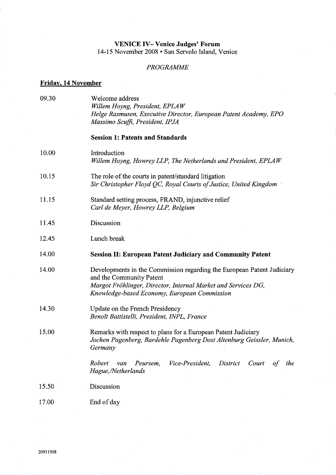## VENICE IV- Venice Judges' Forum 14-15 November 2008 · San Servolo Island, Venice

## PROGRAMME

## Friday, 14 November

| 09.30 | Welcome address<br>Willem Hoyng, President, EPLAW<br>Helge Rasmusen, Executive Director, European Patent Academy, EPO<br>Massimo Scuffi, President, IPJA                                                            |
|-------|---------------------------------------------------------------------------------------------------------------------------------------------------------------------------------------------------------------------|
|       | <b>Session 1: Patents and Standards</b>                                                                                                                                                                             |
| 10.00 | Introduction<br>Willem Hoyng, Howrey LLP, The Netherlands and President, EPLAW                                                                                                                                      |
| 10.15 | The role of the courts in patent/standard litigation<br>Sir Christopher Floyd QC, Royal Courts of Justice, United Kingdom                                                                                           |
| 11.15 | Standard setting process, FRAND, injunctive relief<br>Carl de Meyer, Howrey LLP, Belgium                                                                                                                            |
| 11.45 | Discussion                                                                                                                                                                                                          |
| 12.45 | Lunch break                                                                                                                                                                                                         |
| 14.00 | <b>Session II: European Patent Judiciary and Community Patent</b>                                                                                                                                                   |
| 14.00 | Developments in the Commission regarding the European Patent Judiciary<br>and the Community Patent<br>Margot Fröhlinger, Director, Internal Market and Services DG,<br>Knowledge-based Economy, European Commission |
| 14.30 | Update on the French Presidency<br>Benoĭt Battistelli, President, INPL, France                                                                                                                                      |
| 15.00 | Remarks with respect to plans for a European Patent Judiciary<br>Jochen Pagenberg, Bardehle Pagenberg Dost Altenburg Geissler, Munich,<br>Germany                                                                   |
|       | Robert<br>Vice-President.<br>District<br>Peursem,<br>Court<br>the<br>van<br>of<br>Hague,/Netherlands                                                                                                                |
| 15.50 | Discussion                                                                                                                                                                                                          |
| 17.00 | End of day                                                                                                                                                                                                          |